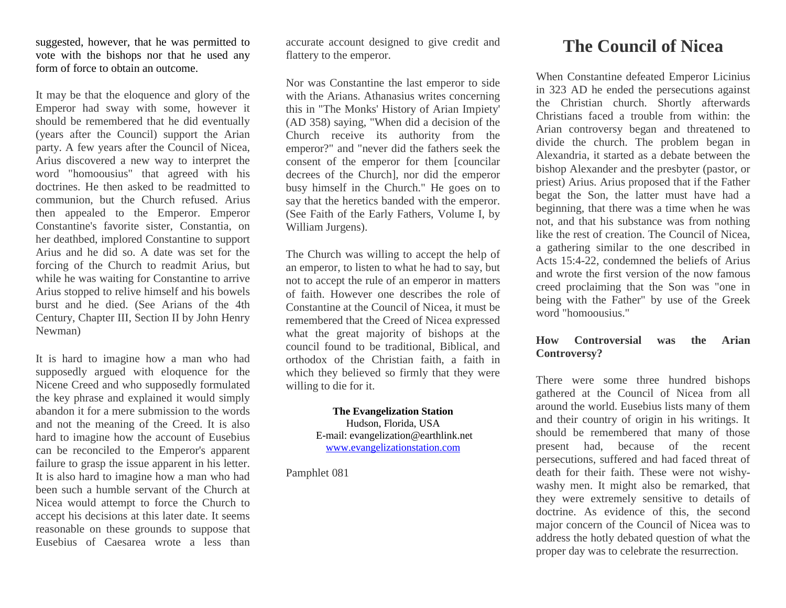suggested, however, that he was permitted to vote with the bishops nor that he used any form of force to obtain an outcome.

It may be that the eloquence and glory of the Emperor had sway with some, however it should be remembered that he did eventually (years after the Council) support the Arian party. A few years after the Council of Nicea, Arius discovered a new way to interpret the word "homoousius" that agreed with his doctrines. He then asked to be readmitted to communion, but the Church refused. Arius then appealed to the Emperor. Emperor Constantine's favorite sister, Constantia, on her deathbed, implored Constantine to support Arius and he did so. A date was set for the forcing of the Church to readmit Arius, but while he was waiting for Constantine to arrive Arius stopped to relive himself and his bowels burst and he died. (See Arians of the 4th Century, Chapter III, Section II by John Henry Newman)

It is hard to imagine how a man who had supposedly argued with eloquence for the Nicene Creed and who supposedly formulated the key phrase and explained it would simply abandon it for a mere submission to the words and not the meaning of the Creed. It is also hard to imagine how the account of Eusebius can be reconciled to the Emperor's apparent failure to grasp the issue apparent in his letter. It is also hard to imagine how a man who had been such a humble servant of the Church at Nicea would attempt to force the Church to accept his decisions at this later date. It seems reasonable on these grounds to suppose that Eusebius of Caesarea wrote a less than

accurate account designed to give credit and flattery to the emperor.

Nor was Constantine the last emperor to side with the Arians. Athanasius writes concerning this in "The Monks' History of Arian Impiety' (AD 358) saying, "When did a decision of the Church receive its authority from the emperor?" and "never did the fathers seek the consent of the emperor for them [councilar decrees of the Church], nor did the emperor busy himself in the Church." He goes on to say that the heretics banded with the emperor. (See Faith of the Early Fathers, Volume I, by William Jurgens).

The Church was willing to accept the help of an emperor, to listen to what he had to say, but not to accept the rule of an emperor in matters of faith. However one describes the role of Constantine at the Council of Nicea, it must be remembered that the Creed of Nicea expressed what the great majority of bishops at the council found to be traditional, Biblical, and orthodox of the Christian faith, a faith in which they believed so firmly that they were willing to die for it.

> **The Evangelization Station** Hudson, Florida, USA E-mail: evangelization@earthlink.net [www.evangelizationstation.com](http://www.pjpiisoe.org/)

Pamphlet 081

## **The Council of Nicea**

When Constantine defeated Emperor Licinius in 323 AD he ended the persecutions against the Christian church. Shortly afterwards Christians faced a trouble from within: the Arian controversy began and threatened to divide the church. The problem began in Alexandria, it started as a debate between the bishop Alexander and the presbyter (pastor, or priest) Arius. Arius proposed that if the Father begat the Son, the latter must have had a beginning, that there was a time when he was not, and that his substance was from nothing like the rest of creation. The Council of Nicea, a gathering similar to the one described in Acts 15:4-22, condemned the beliefs of Arius and wrote the first version of the now famous creed proclaiming that the Son was "one in being with the Father" by use of the Greek word "homoousius."

## **How Controversial was the Arian Controversy?**

There were some three hundred bishops gathered at the Council of Nicea from all around the world. Eusebius lists many of them and their country of origin in his writings. It should be remembered that many of those present had, because of the recent persecutions, suffered and had faced threat of death for their faith. These were not wishywashy men. It might also be remarked, that they were extremely sensitive to details of doctrine. As evidence of this, the second major concern of the Council of Nicea was to address the hotly debated question of what the proper day was to celebrate the resurrection.